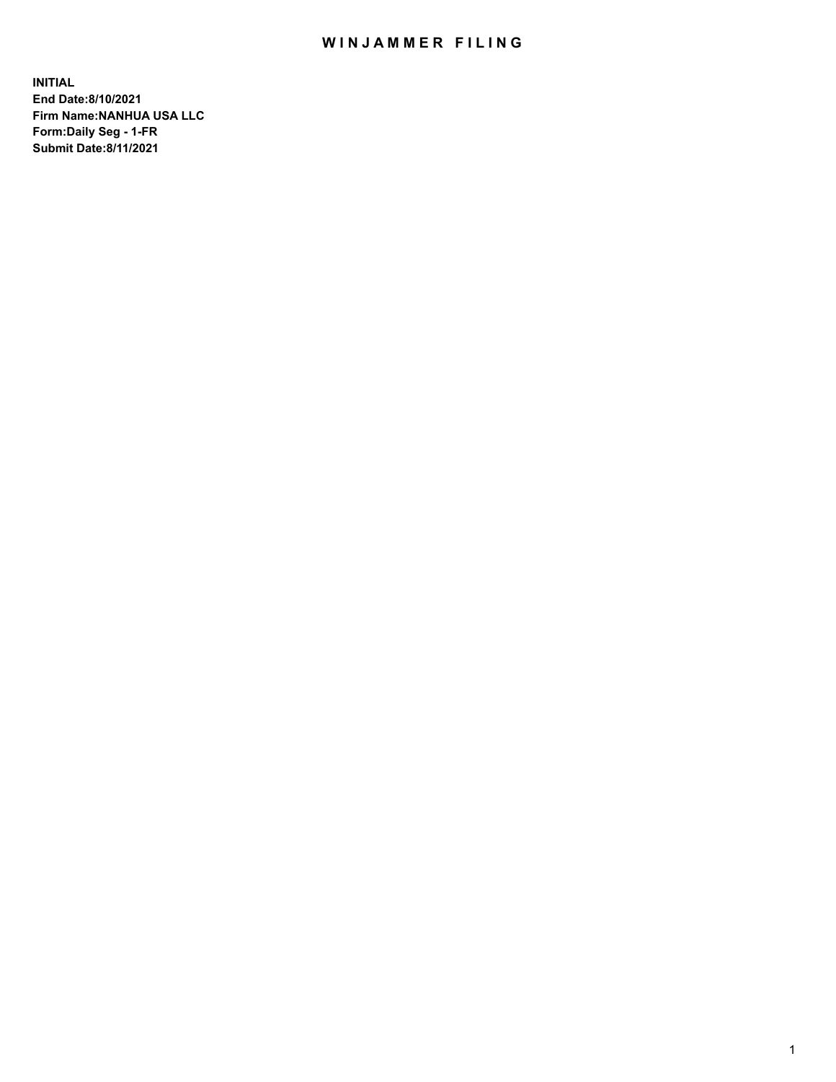# WIN JAMMER FILING

**INITIAL End Date:8/10/2021 Firm Name:NANHUA USA LLC Form:Daily Seg - 1-FR Submit Date:8/11/2021**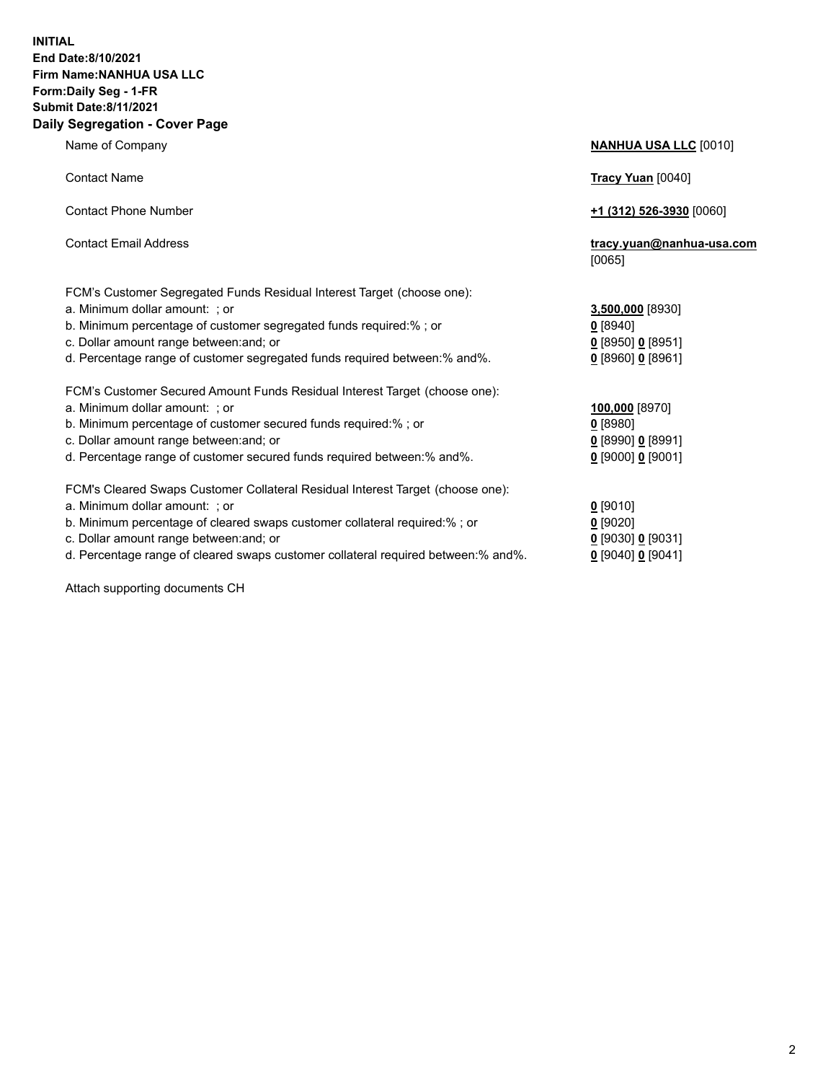### **INITIAL End Date:8/10/2021 Firm Name:NANHUA USA LLC Form:Daily Seg - 1-FR Submit Date:8/11/2021 Daily Segregation - Cover Page**

Name of Company **NANHUA USA LLC** [0010] Contact Name **Tracy Yuan** [0040] Contact Phone Number **+1 (312) 526-3930** [0060] Contact Email Address **tracy.yuan@nanhua-usa.com** [0065] FCM's Customer Segregated Funds Residual Interest Target (choose one): a. Minimum dollar amount: ; or **3,500,000** [8930] b. Minimum percentage of customer segregated funds required:% ; or **0** [8940] c. Dollar amount range between:and; or **0** [8950] **0** [8951] d. Percentage range of customer segregated funds required between:% and%. **0** [8960] **0** [8961] FCM's Customer Secured Amount Funds Residual Interest Target (choose one): a. Minimum dollar amount: ; or **100,000** [8970] b. Minimum percentage of customer secured funds required:% ; or **0** [8980] c. Dollar amount range between:and; or **0** [8990] **0** [8991] d. Percentage range of customer secured funds required between:% and%. **0** [9000] **0** [9001] FCM's Cleared Swaps Customer Collateral Residual Interest Target (choose one): a. Minimum dollar amount: ; or **0** [9010] b. Minimum percentage of cleared swaps customer collateral required:% ; or **0** [9020] c. Dollar amount range between:and; or **0** [9030] **0** [9031]

d. Percentage range of cleared swaps customer collateral required between:% and%. **0** [9040] **0** [9041]

Attach supporting documents CH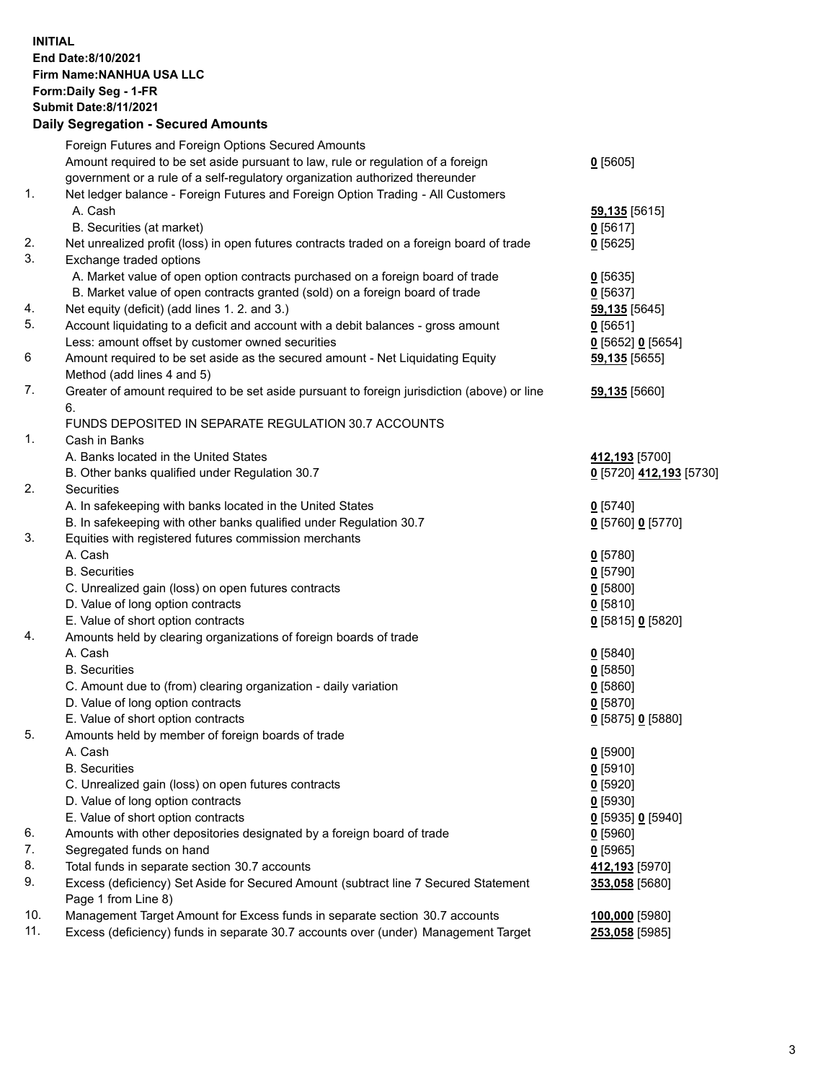## **INITIAL End Date:8/10/2021 Firm Name:NANHUA USA LLC Form:Daily Seg - 1-FR Submit Date:8/11/2021 Daily Segregation - Secured Amounts**

|     | Foreign Futures and Foreign Options Secured Amounts                                                        |                         |
|-----|------------------------------------------------------------------------------------------------------------|-------------------------|
|     | Amount required to be set aside pursuant to law, rule or regulation of a foreign                           | $0$ [5605]              |
|     | government or a rule of a self-regulatory organization authorized thereunder                               |                         |
| 1.  | Net ledger balance - Foreign Futures and Foreign Option Trading - All Customers                            |                         |
|     | A. Cash                                                                                                    | 59,135 [5615]           |
|     | B. Securities (at market)                                                                                  | $0$ [5617]              |
| 2.  | Net unrealized profit (loss) in open futures contracts traded on a foreign board of trade                  | $0$ [5625]              |
| 3.  | Exchange traded options                                                                                    |                         |
|     | A. Market value of open option contracts purchased on a foreign board of trade                             | $Q$ [5635]              |
|     | B. Market value of open contracts granted (sold) on a foreign board of trade                               | $0$ [5637]              |
| 4.  | Net equity (deficit) (add lines 1. 2. and 3.)                                                              | 59,135 [5645]           |
| 5.  | Account liquidating to a deficit and account with a debit balances - gross amount                          | $0$ [5651]              |
|     | Less: amount offset by customer owned securities                                                           | 0 [5652] 0 [5654]       |
| 6   | Amount required to be set aside as the secured amount - Net Liquidating Equity                             | 59,135 [5655]           |
|     | Method (add lines 4 and 5)                                                                                 |                         |
| 7.  | Greater of amount required to be set aside pursuant to foreign jurisdiction (above) or line                | 59,135 [5660]           |
|     | 6.<br>FUNDS DEPOSITED IN SEPARATE REGULATION 30.7 ACCOUNTS                                                 |                         |
| 1.  | Cash in Banks                                                                                              |                         |
|     | A. Banks located in the United States                                                                      | 412,193 [5700]          |
|     | B. Other banks qualified under Regulation 30.7                                                             | 0 [5720] 412,193 [5730] |
| 2.  | Securities                                                                                                 |                         |
|     | A. In safekeeping with banks located in the United States                                                  | $0$ [5740]              |
|     | B. In safekeeping with other banks qualified under Regulation 30.7                                         | 0 [5760] 0 [5770]       |
| 3.  | Equities with registered futures commission merchants                                                      |                         |
|     | A. Cash                                                                                                    | $0$ [5780]              |
|     | <b>B.</b> Securities                                                                                       | $0$ [5790]              |
|     | C. Unrealized gain (loss) on open futures contracts                                                        | $0$ [5800]              |
|     | D. Value of long option contracts                                                                          | $0$ [5810]              |
|     | E. Value of short option contracts                                                                         | 0 [5815] 0 [5820]       |
| 4.  | Amounts held by clearing organizations of foreign boards of trade                                          |                         |
|     | A. Cash                                                                                                    | $Q$ [5840]              |
|     | <b>B.</b> Securities                                                                                       | $0$ [5850]              |
|     | C. Amount due to (from) clearing organization - daily variation                                            | $0$ [5860]              |
|     | D. Value of long option contracts                                                                          | $0$ [5870]              |
|     | E. Value of short option contracts                                                                         | 0 [5875] 0 [5880]       |
| 5.  | Amounts held by member of foreign boards of trade                                                          |                         |
|     | A. Cash                                                                                                    | $0$ [5900]              |
|     | <b>B.</b> Securities                                                                                       | $0$ [5910]              |
|     | C. Unrealized gain (loss) on open futures contracts                                                        | $0$ [5920]              |
|     | D. Value of long option contracts                                                                          | $0$ [5930]              |
|     | E. Value of short option contracts                                                                         | 0 [5935] 0 [5940]       |
| 6.  | Amounts with other depositories designated by a foreign board of trade                                     | $0$ [5960]              |
| 7.  | Segregated funds on hand                                                                                   | $0$ [5965]              |
| 8.  | Total funds in separate section 30.7 accounts                                                              | 412,193 [5970]          |
| 9.  | Excess (deficiency) Set Aside for Secured Amount (subtract line 7 Secured Statement<br>Page 1 from Line 8) | 353,058 [5680]          |
| 10. | Management Target Amount for Excess funds in separate section 30.7 accounts                                | 100,000 [5980]          |
| 11. | Excess (deficiency) funds in separate 30.7 accounts over (under) Management Target                         | 253,058 [5985]          |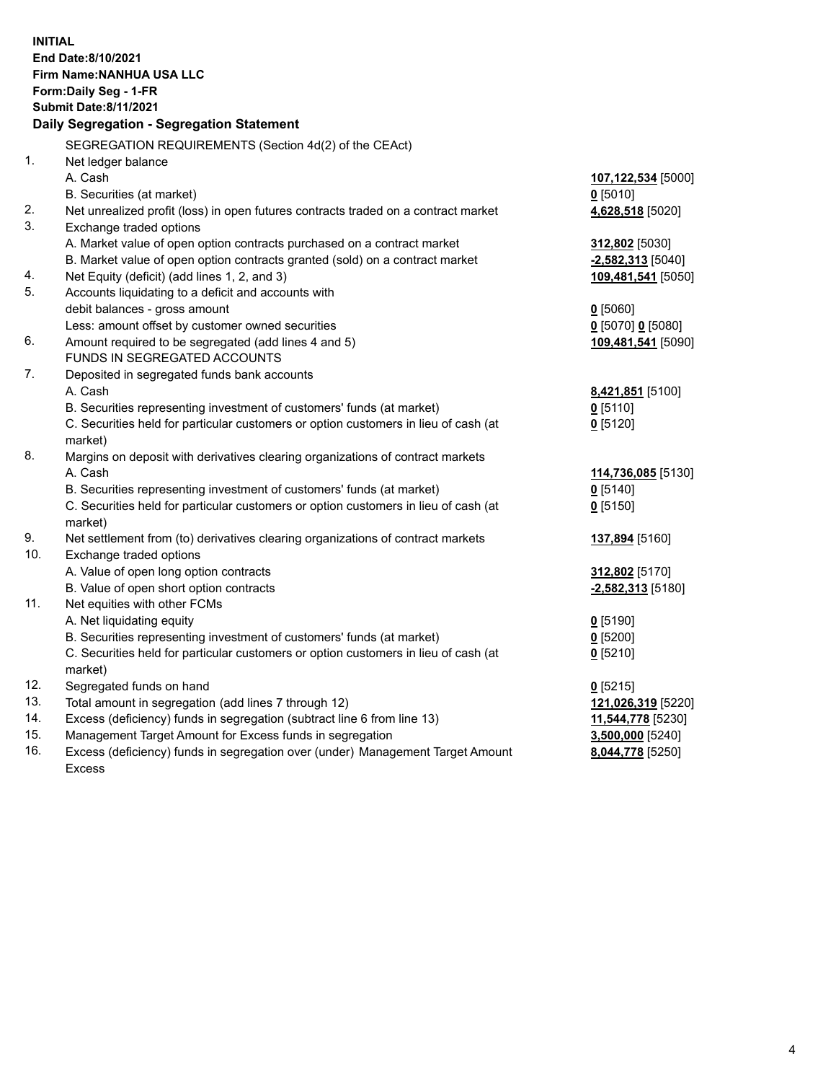| <b>INITIAL</b> | End Date:8/10/2021<br>Firm Name: NANHUA USA LLC<br>Form: Daily Seg - 1-FR<br><b>Submit Date:8/11/2021</b> |                           |
|----------------|-----------------------------------------------------------------------------------------------------------|---------------------------|
|                | Daily Segregation - Segregation Statement                                                                 |                           |
|                | SEGREGATION REQUIREMENTS (Section 4d(2) of the CEAct)                                                     |                           |
| 1.             | Net ledger balance                                                                                        |                           |
|                | A. Cash                                                                                                   | 107,122,534 [5000]        |
|                | B. Securities (at market)                                                                                 | $0$ [5010]                |
| 2.             | Net unrealized profit (loss) in open futures contracts traded on a contract market                        | 4,628,518 [5020]          |
| 3.             | Exchange traded options                                                                                   |                           |
|                | A. Market value of open option contracts purchased on a contract market                                   | 312,802 [5030]            |
|                | B. Market value of open option contracts granted (sold) on a contract market                              | $-2,582,313$ [5040]       |
| 4.             | Net Equity (deficit) (add lines 1, 2, and 3)                                                              | 109,481,541 [5050]        |
| 5.             | Accounts liquidating to a deficit and accounts with                                                       |                           |
|                | debit balances - gross amount                                                                             | $0$ [5060]                |
|                | Less: amount offset by customer owned securities                                                          | 0 [5070] 0 [5080]         |
| 6.             | Amount required to be segregated (add lines 4 and 5)                                                      | 109,481,541 [5090]        |
|                | FUNDS IN SEGREGATED ACCOUNTS                                                                              |                           |
| 7.             | Deposited in segregated funds bank accounts                                                               |                           |
|                | A. Cash                                                                                                   | 8,421,851 [5100]          |
|                | B. Securities representing investment of customers' funds (at market)                                     | $0$ [5110]                |
|                | C. Securities held for particular customers or option customers in lieu of cash (at                       | $0$ [5120]                |
|                | market)                                                                                                   |                           |
| 8.             | Margins on deposit with derivatives clearing organizations of contract markets                            |                           |
|                | A. Cash                                                                                                   | 114,736,085 [5130]        |
|                | B. Securities representing investment of customers' funds (at market)                                     | $0$ [5140]                |
|                | C. Securities held for particular customers or option customers in lieu of cash (at                       | $0$ [5150]                |
| 9.             | market)<br>Net settlement from (to) derivatives clearing organizations of contract markets                |                           |
| 10.            | Exchange traded options                                                                                   | 137,894 [5160]            |
|                | A. Value of open long option contracts                                                                    | 312,802 <sup>[5170]</sup> |
|                | B. Value of open short option contracts                                                                   | $-2,582,313$ [5180]       |
| 11.            | Net equities with other FCMs                                                                              |                           |
|                | A. Net liquidating equity                                                                                 | $0$ [5190]                |
|                | B. Securities representing investment of customers' funds (at market)                                     | $0$ [5200]                |
|                | C. Securities held for particular customers or option customers in lieu of cash (at                       | $0$ [5210]                |
|                | market)                                                                                                   |                           |
| 12.            | Segregated funds on hand                                                                                  | $0$ [5215]                |
| 13.            | Total amount in segregation (add lines 7 through 12)                                                      | 121,026,319 [5220]        |
| 14.            | Excess (deficiency) funds in segregation (subtract line 6 from line 13)                                   | 11,544,778 [5230]         |
| 15.            | Management Target Amount for Excess funds in segregation                                                  | 3,500,000 [5240]          |
| 16.            | Excess (deficiency) funds in segregation over (under) Management Target Amount                            | 8,044,778 [5250]          |
|                | <b>Excess</b>                                                                                             |                           |